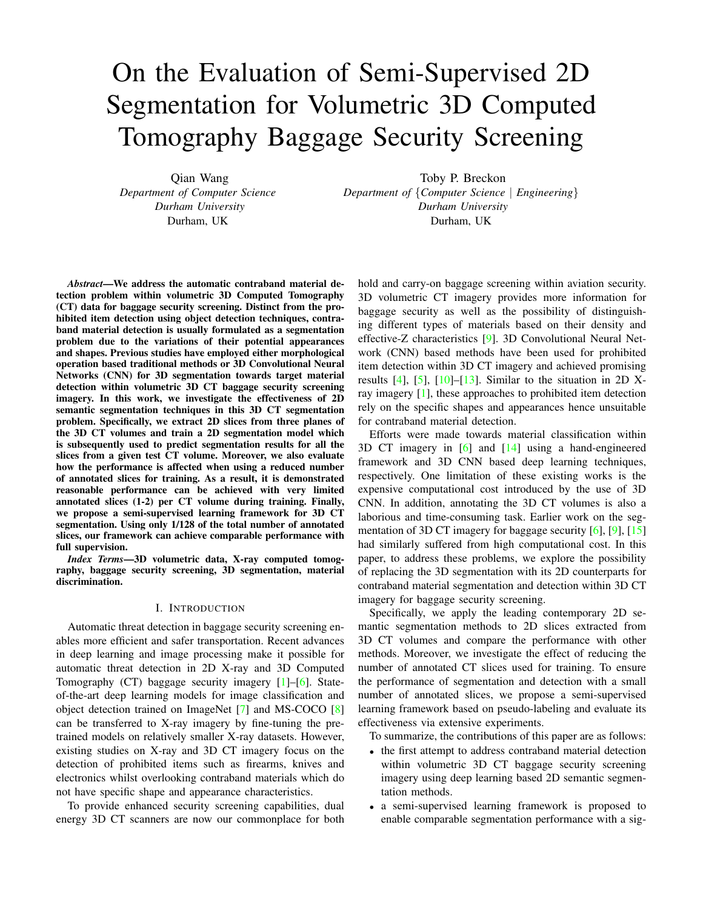# On the Evaluation of Semi-Supervised 2D Segmentation for Volumetric 3D Computed Tomography Baggage Security Screening

Qian Wang *Department of Computer Science Durham University* Durham, UK

Toby P. Breckon *Department of* {*Computer Science* | *Engineering*} *Durham University* Durham, UK

*Abstract*—We address the automatic contraband material detection problem within volumetric 3D Computed Tomography (CT) data for baggage security screening. Distinct from the prohibited item detection using object detection techniques, contraband material detection is usually formulated as a segmentation problem due to the variations of their potential appearances and shapes. Previous studies have employed either morphological operation based traditional methods or 3D Convolutional Neural Networks (CNN) for 3D segmentation towards target material detection within volumetric 3D CT baggage security screening imagery. In this work, we investigate the effectiveness of 2D semantic segmentation techniques in this 3D CT segmentation problem. Specifically, we extract 2D slices from three planes of the 3D CT volumes and train a 2D segmentation model which is subsequently used to predict segmentation results for all the slices from a given test CT volume. Moreover, we also evaluate how the performance is affected when using a reduced number of annotated slices for training. As a result, it is demonstrated reasonable performance can be achieved with very limited annotated slices (1-2) per CT volume during training. Finally, we propose a semi-supervised learning framework for 3D CT segmentation. Using only 1/128 of the total number of annotated slices, our framework can achieve comparable performance with full supervision.

*Index Terms*—3D volumetric data, X-ray computed tomography, baggage security screening, 3D segmentation, material discrimination.

# I. INTRODUCTION

Automatic threat detection in baggage security screening enables more efficient and safer transportation. Recent advances in deep learning and image processing make it possible for automatic threat detection in 2D X-ray and 3D Computed Tomography (CT) baggage security imagery [\[1\]](#page-6-0)–[\[6\]](#page-7-0). Stateof-the-art deep learning models for image classification and object detection trained on ImageNet [\[7\]](#page-7-1) and MS-COCO [\[8\]](#page-7-2) can be transferred to X-ray imagery by fine-tuning the pretrained models on relatively smaller X-ray datasets. However, existing studies on X-ray and 3D CT imagery focus on the detection of prohibited items such as firearms, knives and electronics whilst overlooking contraband materials which do not have specific shape and appearance characteristics.

To provide enhanced security screening capabilities, dual energy 3D CT scanners are now our commonplace for both hold and carry-on baggage screening within aviation security. 3D volumetric CT imagery provides more information for baggage security as well as the possibility of distinguishing different types of materials based on their density and effective-Z characteristics [\[9\]](#page-7-3). 3D Convolutional Neural Network (CNN) based methods have been used for prohibited item detection within 3D CT imagery and achieved promising results  $[4]$ ,  $[5]$ ,  $[10]$ – $[13]$ . Similar to the situation in 2D Xray imagery [\[1\]](#page-6-0), these approaches to prohibited item detection rely on the specific shapes and appearances hence unsuitable for contraband material detection.

Efforts were made towards material classification within 3D CT imagery in [\[6\]](#page-7-0) and [\[14\]](#page-7-8) using a hand-engineered framework and 3D CNN based deep learning techniques, respectively. One limitation of these existing works is the expensive computational cost introduced by the use of 3D CNN. In addition, annotating the 3D CT volumes is also a laborious and time-consuming task. Earlier work on the segmentation of 3D CT imagery for baggage security [\[6\]](#page-7-0), [\[9\]](#page-7-3), [\[15\]](#page-7-9) had similarly suffered from high computational cost. In this paper, to address these problems, we explore the possibility of replacing the 3D segmentation with its 2D counterparts for contraband material segmentation and detection within 3D CT imagery for baggage security screening.

Specifically, we apply the leading contemporary 2D semantic segmentation methods to 2D slices extracted from 3D CT volumes and compare the performance with other methods. Moreover, we investigate the effect of reducing the number of annotated CT slices used for training. To ensure the performance of segmentation and detection with a small number of annotated slices, we propose a semi-supervised learning framework based on pseudo-labeling and evaluate its effectiveness via extensive experiments.

To summarize, the contributions of this paper are as follows:

- the first attempt to address contraband material detection within volumetric 3D CT baggage security screening imagery using deep learning based 2D semantic segmentation methods.
- a semi-supervised learning framework is proposed to enable comparable segmentation performance with a sig-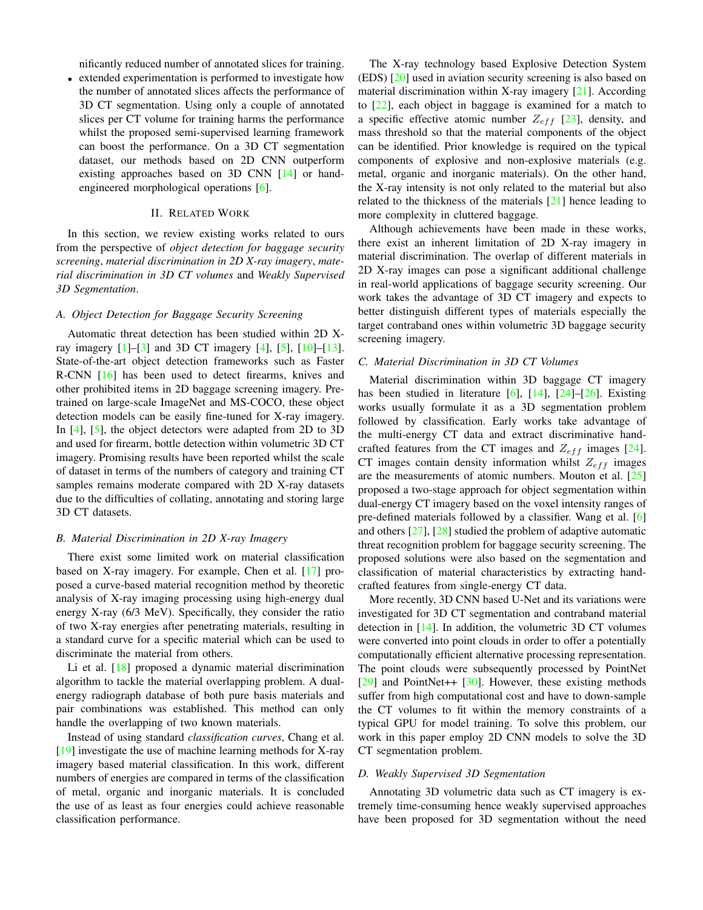nificantly reduced number of annotated slices for training.

• extended experimentation is performed to investigate how the number of annotated slices affects the performance of 3D CT segmentation. Using only a couple of annotated slices per CT volume for training harms the performance whilst the proposed semi-supervised learning framework can boost the performance. On a 3D CT segmentation dataset, our methods based on 2D CNN outperform existing approaches based on 3D CNN [\[14\]](#page-7-8) or handengineered morphological operations [\[6\]](#page-7-0).

## II. RELATED WORK

In this section, we review existing works related to ours from the perspective of *object detection for baggage security screening*, *material discrimination in 2D X-ray imagery*, *material discrimination in 3D CT volumes* and *Weakly Supervised 3D Segmentation*.

## *A. Object Detection for Baggage Security Screening*

Automatic threat detection has been studied within 2D Xray imagery  $[1]$ – $[3]$  and 3D CT imagery  $[4]$ ,  $[5]$ ,  $[10]$ – $[13]$ . State-of-the-art object detection frameworks such as Faster R-CNN [\[16\]](#page-7-11) has been used to detect firearms, knives and other prohibited items in 2D baggage screening imagery. Pretrained on large-scale ImageNet and MS-COCO, these object detection models can be easily fine-tuned for X-ray imagery. In [\[4\]](#page-7-4), [\[5\]](#page-7-5), the object detectors were adapted from 2D to 3D and used for firearm, bottle detection within volumetric 3D CT imagery. Promising results have been reported whilst the scale of dataset in terms of the numbers of category and training CT samples remains moderate compared with 2D X-ray datasets due to the difficulties of collating, annotating and storing large 3D CT datasets.

#### *B. Material Discrimination in 2D X-ray Imagery*

There exist some limited work on material classification based on X-ray imagery. For example, Chen et al. [\[17\]](#page-7-12) proposed a curve-based material recognition method by theoretic analysis of X-ray imaging processing using high-energy dual energy X-ray (6/3 MeV). Specifically, they consider the ratio of two X-ray energies after penetrating materials, resulting in a standard curve for a specific material which can be used to discriminate the material from others.

Li et al. [\[18\]](#page-7-13) proposed a dynamic material discrimination algorithm to tackle the material overlapping problem. A dualenergy radiograph database of both pure basis materials and pair combinations was established. This method can only handle the overlapping of two known materials.

Instead of using standard *classification curves*, Chang et al.  $[19]$  investigate the use of machine learning methods for X-ray imagery based material classification. In this work, different numbers of energies are compared in terms of the classification of metal, organic and inorganic materials. It is concluded the use of as least as four energies could achieve reasonable classification performance.

The X-ray technology based Explosive Detection System (EDS) [\[20\]](#page-7-15) used in aviation security screening is also based on material discrimination within X-ray imagery  $[21]$ . According to [\[22\]](#page-7-17), each object in baggage is examined for a match to a specific effective atomic number  $Z_{eff}$  [\[23\]](#page-7-18), density, and mass threshold so that the material components of the object can be identified. Prior knowledge is required on the typical components of explosive and non-explosive materials (e.g. metal, organic and inorganic materials). On the other hand, the X-ray intensity is not only related to the material but also related to the thickness of the materials [\[21\]](#page-7-16) hence leading to more complexity in cluttered baggage.

Although achievements have been made in these works, there exist an inherent limitation of 2D X-ray imagery in material discrimination. The overlap of different materials in 2D X-ray images can pose a significant additional challenge in real-world applications of baggage security screening. Our work takes the advantage of 3D CT imagery and expects to better distinguish different types of materials especially the target contraband ones within volumetric 3D baggage security screening imagery.

# *C. Material Discrimination in 3D CT Volumes*

Material discrimination within 3D baggage CT imagery has been studied in literature  $[6]$ ,  $[14]$ ,  $[24]$ – $[26]$ . Existing works usually formulate it as a 3D segmentation problem followed by classification. Early works take advantage of the multi-energy CT data and extract discriminative handcrafted features from the CT images and  $Z_{eff}$  images [\[24\]](#page-7-19). CT images contain density information whilst  $Z_{eff}$  images are the measurements of atomic numbers. Mouton et al. [\[25\]](#page-7-21) proposed a two-stage approach for object segmentation within dual-energy CT imagery based on the voxel intensity ranges of pre-defined materials followed by a classifier. Wang et al. [\[6\]](#page-7-0) and others [\[27\]](#page-7-22), [\[28\]](#page-7-23) studied the problem of adaptive automatic threat recognition problem for baggage security screening. The proposed solutions were also based on the segmentation and classification of material characteristics by extracting handcrafted features from single-energy CT data.

More recently, 3D CNN based U-Net and its variations were investigated for 3D CT segmentation and contraband material detection in [\[14\]](#page-7-8). In addition, the volumetric 3D CT volumes were converted into point clouds in order to offer a potentially computationally efficient alternative processing representation. The point clouds were subsequently processed by PointNet [\[29\]](#page-7-24) and PointNet++ [\[30\]](#page-7-25). However, these existing methods suffer from high computational cost and have to down-sample the CT volumes to fit within the memory constraints of a typical GPU for model training. To solve this problem, our work in this paper employ 2D CNN models to solve the 3D CT segmentation problem.

## *D. Weakly Supervised 3D Segmentation*

Annotating 3D volumetric data such as CT imagery is extremely time-consuming hence weakly supervised approaches have been proposed for 3D segmentation without the need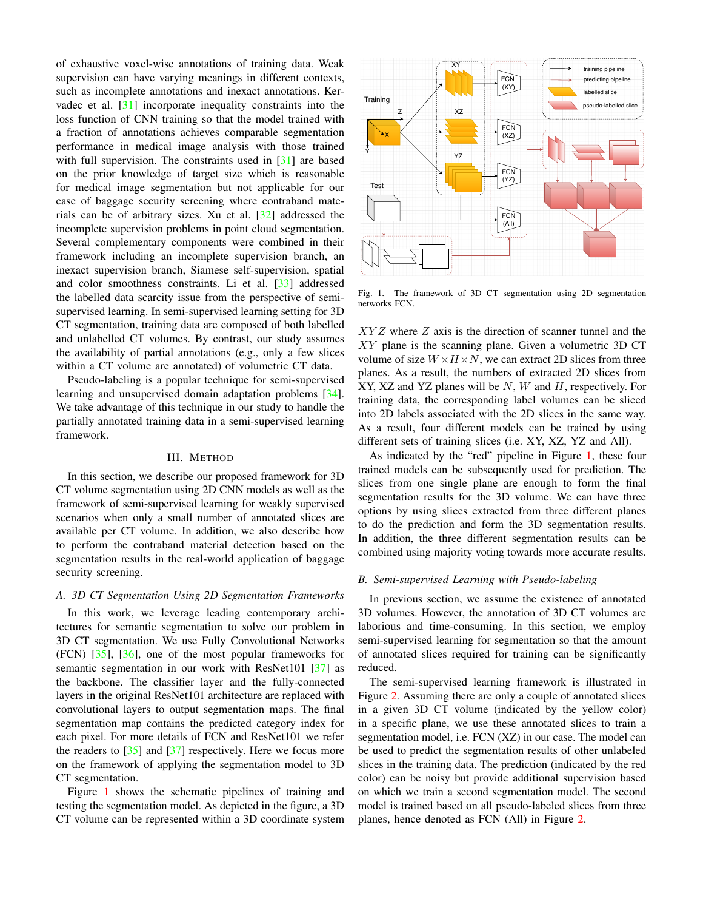of exhaustive voxel-wise annotations of training data. Weak supervision can have varying meanings in different contexts, such as incomplete annotations and inexact annotations. Kervadec et al. [\[31\]](#page-7-26) incorporate inequality constraints into the loss function of CNN training so that the model trained with a fraction of annotations achieves comparable segmentation performance in medical image analysis with those trained with full supervision. The constraints used in [\[31\]](#page-7-26) are based on the prior knowledge of target size which is reasonable for medical image segmentation but not applicable for our case of baggage security screening where contraband materials can be of arbitrary sizes. Xu et al. [\[32\]](#page-7-27) addressed the incomplete supervision problems in point cloud segmentation. Several complementary components were combined in their framework including an incomplete supervision branch, an inexact supervision branch, Siamese self-supervision, spatial and color smoothness constraints. Li et al. [\[33\]](#page-7-28) addressed the labelled data scarcity issue from the perspective of semisupervised learning. In semi-supervised learning setting for 3D CT segmentation, training data are composed of both labelled and unlabelled CT volumes. By contrast, our study assumes the availability of partial annotations (e.g., only a few slices within a CT volume are annotated) of volumetric CT data.

Pseudo-labeling is a popular technique for semi-supervised learning and unsupervised domain adaptation problems [\[34\]](#page-7-29). We take advantage of this technique in our study to handle the partially annotated training data in a semi-supervised learning framework.

# III. METHOD

In this section, we describe our proposed framework for 3D CT volume segmentation using 2D CNN models as well as the framework of semi-supervised learning for weakly supervised scenarios when only a small number of annotated slices are available per CT volume. In addition, we also describe how to perform the contraband material detection based on the segmentation results in the real-world application of baggage security screening.

## *A. 3D CT Segmentation Using 2D Segmentation Frameworks*

In this work, we leverage leading contemporary architectures for semantic segmentation to solve our problem in 3D CT segmentation. We use Fully Convolutional Networks  $(FCN)$  [\[35\]](#page-7-30), [\[36\]](#page-7-31), one of the most popular frameworks for semantic segmentation in our work with ResNet101 [\[37\]](#page-7-32) as the backbone. The classifier layer and the fully-connected layers in the original ResNet101 architecture are replaced with convolutional layers to output segmentation maps. The final segmentation map contains the predicted category index for each pixel. For more details of FCN and ResNet101 we refer the readers to  $\left[35\right]$  and  $\left[37\right]$  respectively. Here we focus more on the framework of applying the segmentation model to 3D CT segmentation.

Figure [1](#page-2-0) shows the schematic pipelines of training and testing the segmentation model. As depicted in the figure, a 3D CT volume can be represented within a 3D coordinate system



<span id="page-2-0"></span>Fig. 1. The framework of 3D CT segmentation using 2D segmentation networks FCN.

 $XYZ$  where  $Z$  axis is the direction of scanner tunnel and the XY plane is the scanning plane. Given a volumetric 3D CT volume of size  $W \times H \times N$ , we can extract 2D slices from three planes. As a result, the numbers of extracted 2D slices from XY, XZ and YZ planes will be  $N$ ,  $W$  and  $H$ , respectively. For training data, the corresponding label volumes can be sliced into 2D labels associated with the 2D slices in the same way. As a result, four different models can be trained by using different sets of training slices (i.e. XY, XZ, YZ and All).

As indicated by the "red" pipeline in Figure [1,](#page-2-0) these four trained models can be subsequently used for prediction. The slices from one single plane are enough to form the final segmentation results for the 3D volume. We can have three options by using slices extracted from three different planes to do the prediction and form the 3D segmentation results. In addition, the three different segmentation results can be combined using majority voting towards more accurate results.

## <span id="page-2-1"></span>*B. Semi-supervised Learning with Pseudo-labeling*

In previous section, we assume the existence of annotated 3D volumes. However, the annotation of 3D CT volumes are laborious and time-consuming. In this section, we employ semi-supervised learning for segmentation so that the amount of annotated slices required for training can be significantly reduced.

The semi-supervised learning framework is illustrated in Figure [2.](#page-3-0) Assuming there are only a couple of annotated slices in a given 3D CT volume (indicated by the yellow color) in a specific plane, we use these annotated slices to train a segmentation model, i.e. FCN (XZ) in our case. The model can be used to predict the segmentation results of other unlabeled slices in the training data. The prediction (indicated by the red color) can be noisy but provide additional supervision based on which we train a second segmentation model. The second model is trained based on all pseudo-labeled slices from three planes, hence denoted as FCN (All) in Figure [2.](#page-3-0)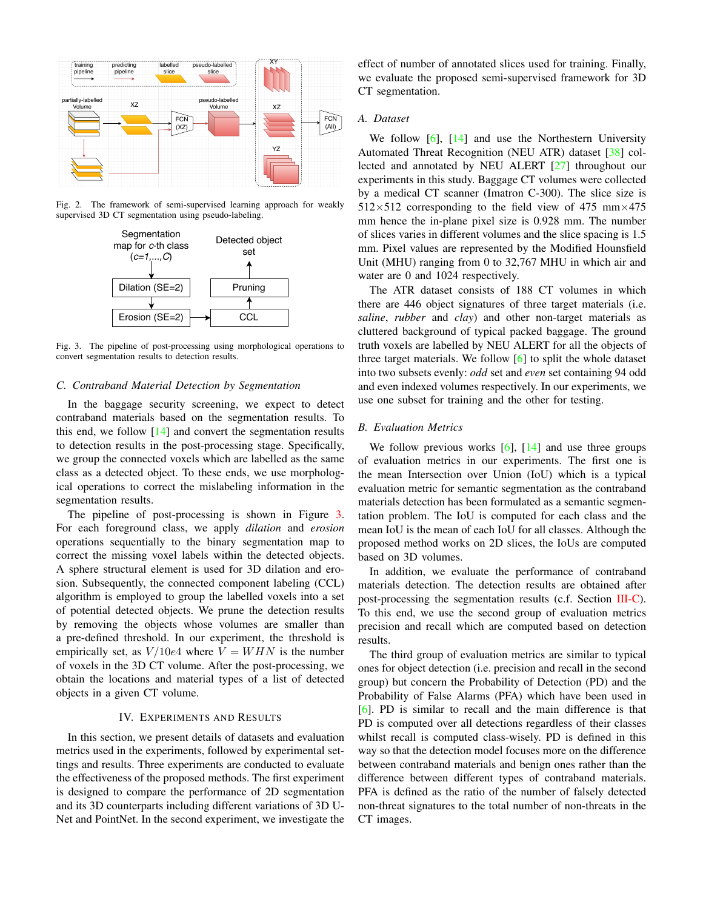

Fig. 2. The framework of semi-supervised learning approach for weakly supervised 3D CT segmentation using pseudo-labeling.

<span id="page-3-0"></span>

<span id="page-3-1"></span>Fig. 3. The pipeline of post-processing using morphological operations to convert segmentation results to detection results.

# <span id="page-3-2"></span>*C. Contraband Material Detection by Segmentation*

In the baggage security screening, we expect to detect contraband materials based on the segmentation results. To this end, we follow  $[14]$  and convert the segmentation results to detection results in the post-processing stage. Specifically, we group the connected voxels which are labelled as the same class as a detected object. To these ends, we use morphological operations to correct the mislabeling information in the segmentation results.

The pipeline of post-processing is shown in Figure [3.](#page-3-1) For each foreground class, we apply *dilation* and *erosion* operations sequentially to the binary segmentation map to correct the missing voxel labels within the detected objects. A sphere structural element is used for 3D dilation and erosion. Subsequently, the connected component labeling (CCL) algorithm is employed to group the labelled voxels into a set of potential detected objects. We prune the detection results by removing the objects whose volumes are smaller than a pre-defined threshold. In our experiment, the threshold is empirically set, as  $V/10e4$  where  $V = WHN$  is the number of voxels in the 3D CT volume. After the post-processing, we obtain the locations and material types of a list of detected objects in a given CT volume.

#### IV. EXPERIMENTS AND RESULTS

In this section, we present details of datasets and evaluation metrics used in the experiments, followed by experimental settings and results. Three experiments are conducted to evaluate the effectiveness of the proposed methods. The first experiment is designed to compare the performance of 2D segmentation and its 3D counterparts including different variations of 3D U-Net and PointNet. In the second experiment, we investigate the effect of number of annotated slices used for training. Finally, we evaluate the proposed semi-supervised framework for 3D CT segmentation.

## *A. Dataset*

We follow  $[6]$ ,  $[14]$  and use the Northestern University Automated Threat Recognition (NEU ATR) dataset [\[38\]](#page-7-33) collected and annotated by NEU ALERT [\[27\]](#page-7-22) throughout our experiments in this study. Baggage CT volumes were collected by a medical CT scanner (Imatron C-300). The slice size is  $512\times512$  corresponding to the field view of 475 mm $\times$ 475 mm hence the in-plane pixel size is 0.928 mm. The number of slices varies in different volumes and the slice spacing is 1.5 mm. Pixel values are represented by the Modified Hounsfield Unit (MHU) ranging from 0 to 32,767 MHU in which air and water are 0 and 1024 respectively.

The ATR dataset consists of 188 CT volumes in which there are 446 object signatures of three target materials (i.e. *saline*, *rubber* and *clay*) and other non-target materials as cluttered background of typical packed baggage. The ground truth voxels are labelled by NEU ALERT for all the objects of three target materials. We follow [\[6\]](#page-7-0) to split the whole dataset into two subsets evenly: *odd* set and *even* set containing 94 odd and even indexed volumes respectively. In our experiments, we use one subset for training and the other for testing.

#### *B. Evaluation Metrics*

We follow previous works  $[6]$ ,  $[14]$  and use three groups of evaluation metrics in our experiments. The first one is the mean Intersection over Union (IoU) which is a typical evaluation metric for semantic segmentation as the contraband materials detection has been formulated as a semantic segmentation problem. The IoU is computed for each class and the mean IoU is the mean of each IoU for all classes. Although the proposed method works on 2D slices, the IoUs are computed based on 3D volumes.

In addition, we evaluate the performance of contraband materials detection. The detection results are obtained after post-processing the segmentation results (c.f. Section [III-C\)](#page-3-2). To this end, we use the second group of evaluation metrics precision and recall which are computed based on detection results.

The third group of evaluation metrics are similar to typical ones for object detection (i.e. precision and recall in the second group) but concern the Probability of Detection (PD) and the Probability of False Alarms (PFA) which have been used in [\[6\]](#page-7-0). PD is similar to recall and the main difference is that PD is computed over all detections regardless of their classes whilst recall is computed class-wisely. PD is defined in this way so that the detection model focuses more on the difference between contraband materials and benign ones rather than the difference between different types of contraband materials. PFA is defined as the ratio of the number of falsely detected non-threat signatures to the total number of non-threats in the CT images.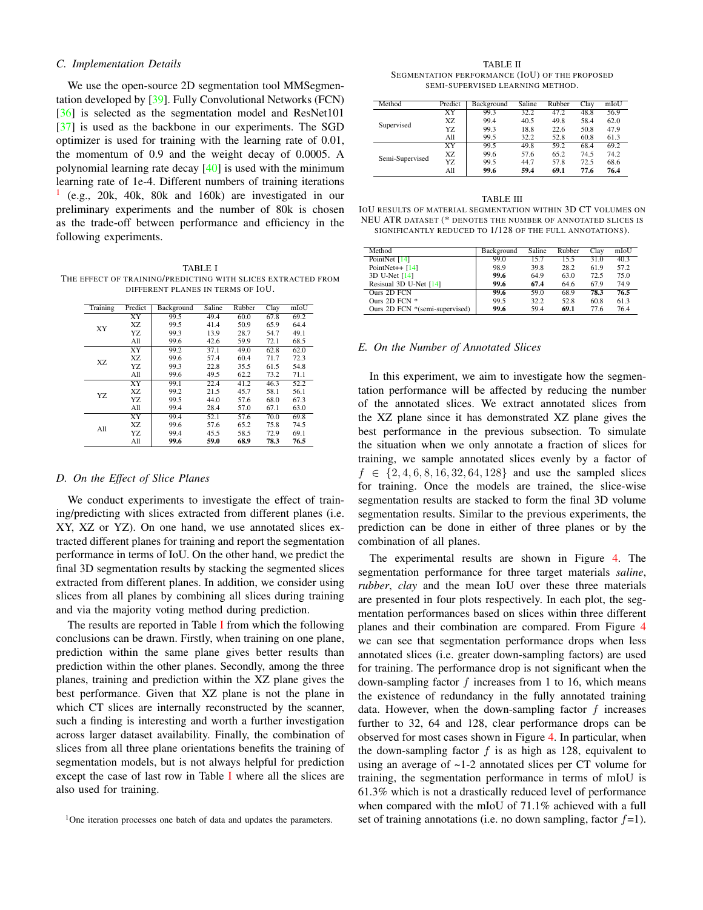## *C. Implementation Details*

We use the open-source 2D segmentation tool MMSegmentation developed by [\[39\]](#page-7-34). Fully Convolutional Networks (FCN) [\[36\]](#page-7-31) is selected as the segmentation model and ResNet101 [\[37\]](#page-7-32) is used as the backbone in our experiments. The SGD optimizer is used for training with the learning rate of 0.01, the momentum of 0.9 and the weight decay of 0.0005. A polynomial learning rate decay [\[40\]](#page-7-35) is used with the minimum learning rate of 1e-4. Different numbers of training iterations [1](#page-4-0) (e.g., 20k, 40k, 80k and 160k) are investigated in our preliminary experiments and the number of 80k is chosen as the trade-off between performance and efficiency in the following experiments.

<span id="page-4-1"></span>TABLE I THE EFFECT OF TRAINING/PREDICTING WITH SLICES EXTRACTED FROM DIFFERENT PLANES IN TERMS OF IOU.

| Training | Predict   | Background | Saline | Rubber | Clay | mIoU |
|----------|-----------|------------|--------|--------|------|------|
|          | XY        | 99.5       | 49.4   | 60.0   | 67.8 | 69.2 |
| XY       | X7.       | 99.5       | 41.4   | 50.9   | 65.9 | 64.4 |
|          | Y7.       | 99.3       | 13.9   | 28.7   | 54.7 | 49.1 |
|          | All       | 99.6       | 42.6   | 59.9   | 72.1 | 68.5 |
|          | <b>XY</b> | 99.2       | 37.1   | 49.0   | 62.8 | 62.0 |
| X7.      | X7.       | 99.6       | 57.4   | 60.4   | 71.7 | 72.3 |
|          | YZ.       | 99.3       | 22.8   | 35.5   | 61.5 | 54.8 |
|          | All       | 99.6       | 49.5   | 62.2   | 73.2 | 71.1 |
|          | <b>XY</b> | 99.1       | 22.4   | 41.2   | 46.3 | 52.2 |
| YZ.      | X7.       | 99.2       | 21.5   | 45.7   | 58.1 | 56.1 |
|          | Y7.       | 99.5       | 44.0   | 57.6   | 68.0 | 67.3 |
|          | All       | 99.4       | 28.4   | 57.0   | 67.1 | 63.0 |
|          | XY        | 99.4       | 52.1   | 57.6   | 70.0 | 69.8 |
| A11      | X7.       | 99.6       | 57.6   | 65.2   | 75.8 | 74.5 |
|          | Y7.       | 99.4       | 45.5   | 58.5   | 72.9 | 69.1 |
|          | All       | 99.6       | 59.0   | 68.9   | 78.3 | 76.5 |

#### *D. On the Effect of Slice Planes*

We conduct experiments to investigate the effect of training/predicting with slices extracted from different planes (i.e. XY, XZ or YZ). On one hand, we use annotated slices extracted different planes for training and report the segmentation performance in terms of IoU. On the other hand, we predict the final 3D segmentation results by stacking the segmented slices extracted from different planes. In addition, we consider using slices from all planes by combining all slices during training and via the majority voting method during prediction.

The results are reported in Table [I](#page-4-1) from which the following conclusions can be drawn. Firstly, when training on one plane, prediction within the same plane gives better results than prediction within the other planes. Secondly, among the three planes, training and prediction within the XZ plane gives the best performance. Given that XZ plane is not the plane in which CT slices are internally reconstructed by the scanner, such a finding is interesting and worth a further investigation across larger dataset availability. Finally, the combination of slices from all three plane orientations benefits the training of segmentation models, but is not always helpful for prediction except the case of last row in Table [I](#page-4-1) where all the slices are also used for training.

TABLE II SEGMENTATION PERFORMANCE (IOU) OF THE PROPOSED SEMI-SUPERVISED LEARNING METHOD.

<span id="page-4-2"></span>

| Method          | Predict | Background | Saline | Rubber | Clay | mIoU |
|-----------------|---------|------------|--------|--------|------|------|
|                 | XY      | 99.3       | 32.2   | 47.2   | 48.8 | 56.9 |
| Supervised      | X7.     | 99.4       | 40.5   | 49.8   | 58.4 | 62.0 |
|                 | Y7.     | 99.3       | 18.8   | 22.6   | 50.8 | 47.9 |
|                 | All     | 99.5       | 32.2   | 52.8   | 60.8 | 61.3 |
|                 | XY      | 99.5       | 49.8   | 59.2   | 68.4 | 69.2 |
| Semi-Supervised | X7.     | 99.6       | 57.6   | 65.2   | 74.5 | 74.2 |
|                 | Y7.     | 99.5       | 44.7   | 57.8   | 72.5 | 68.6 |
|                 | All     | 99.6       | 59.4   | 69.1   | 77.6 | 76.4 |

<span id="page-4-3"></span>TABLE III IOU RESULTS OF MATERIAL SEGMENTATION WITHIN 3D CT VOLUMES ON NEU ATR DATASET (\* DENOTES THE NUMBER OF ANNOTATED SLICES IS SIGNIFICANTLY REDUCED TO 1/128 OF THE FULL ANNOTATIONS).

| Method                         | Background | Saline | Rubber | Clay | mIoU |
|--------------------------------|------------|--------|--------|------|------|
| PointNet [14]                  | 99.0       | 15.7   | 15.5   | 31.0 | 40.3 |
| PointNet++ $[14]$              | 98.9       | 39.8   | 28.2   | 61.9 | 57.2 |
| 3D U-Net [14]                  | 99.6       | 64.9   | 63.0   | 72.5 | 75.0 |
| Resisual 3D U-Net [14]         | 99.6       | 67.4   | 64.6   | 67.9 | 74.9 |
| Ours 2D FCN                    | 99.6       | 59.0   | 68.9   | 78.3 | 76.5 |
| Ours $2D$ FCN $*$              | 99.5       | 32.2   | 52.8   | 60.8 | 61.3 |
| Ours 2D FCN *(semi-supervised) | 99.6       | 59.4   | 69.1   | 77.6 | 76.4 |

## *E. On the Number of Annotated Slices*

In this experiment, we aim to investigate how the segmentation performance will be affected by reducing the number of the annotated slices. We extract annotated slices from the XZ plane since it has demonstrated XZ plane gives the best performance in the previous subsection. To simulate the situation when we only annotate a fraction of slices for training, we sample annotated slices evenly by a factor of  $f \in \{2, 4, 6, 8, 16, 32, 64, 128\}$  and use the sampled slices for training. Once the models are trained, the slice-wise segmentation results are stacked to form the final 3D volume segmentation results. Similar to the previous experiments, the prediction can be done in either of three planes or by the combination of all planes.

The experimental results are shown in Figure [4.](#page-5-0) The segmentation performance for three target materials *saline*, *rubber*, *clay* and the mean IoU over these three materials are presented in four plots respectively. In each plot, the segmentation performances based on slices within three different planes and their combination are compared. From Figure [4](#page-5-0) we can see that segmentation performance drops when less annotated slices (i.e. greater down-sampling factors) are used for training. The performance drop is not significant when the down-sampling factor  $f$  increases from 1 to 16, which means the existence of redundancy in the fully annotated training data. However, when the down-sampling factor  $f$  increases further to 32, 64 and 128, clear performance drops can be observed for most cases shown in Figure [4.](#page-5-0) In particular, when the down-sampling factor  $f$  is as high as 128, equivalent to using an average of ~1-2 annotated slices per CT volume for training, the segmentation performance in terms of mIoU is 61.3% which is not a drastically reduced level of performance when compared with the mIoU of 71.1% achieved with a full set of training annotations (i.e. no down sampling, factor  $f=1$ ).

<span id="page-4-0"></span> $1$ One iteration processes one batch of data and updates the parameters.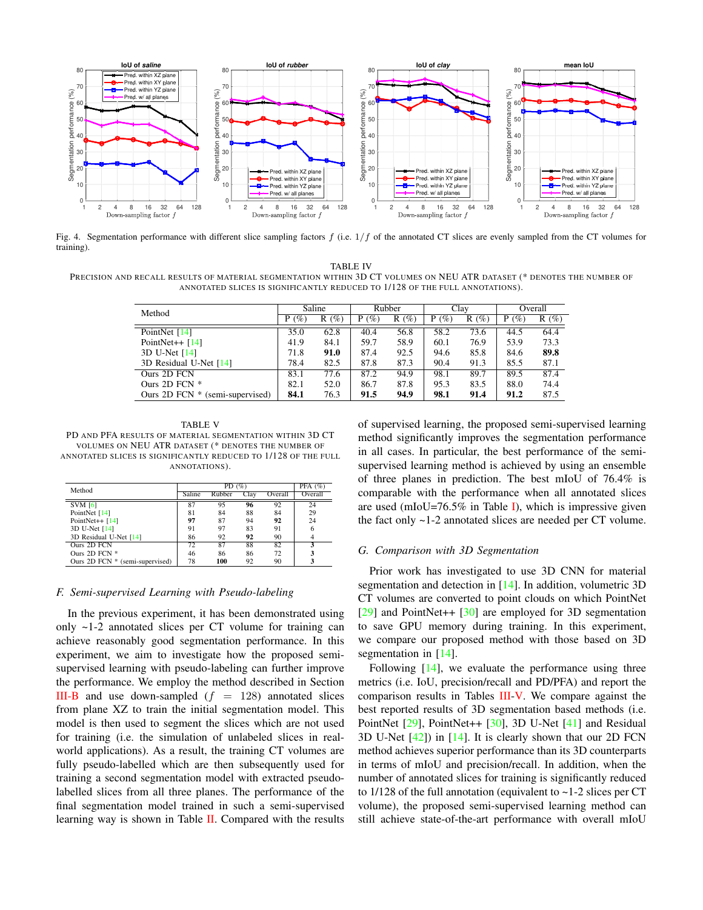

<span id="page-5-0"></span>Fig. 4. Segmentation performance with different slice sampling factors  $f$  (i.e.  $1/f$  of the annotated CT slices are evenly sampled from the CT volumes for training).

TABLE IV PRECISION AND RECALL RESULTS OF MATERIAL SEGMENTATION WITHIN 3D CT VOLUMES ON NEU ATR DATASET (\* DENOTES THE NUMBER OF ANNOTATED SLICES IS SIGNIFICANTLY REDUCED TO 1/128 OF THE FULL ANNOTATIONS).

| Method                              | Saline  |         | Rubber   |         | Clay     |         | Overall  |         |
|-------------------------------------|---------|---------|----------|---------|----------|---------|----------|---------|
|                                     | $P(\%)$ | $R(\%)$ | (%)<br>P | $R(\%)$ | (%)<br>P | $R(\%)$ | (%)<br>P | $R(\%)$ |
| PointNet [14]                       | 35.0    | 62.8    | 40.4     | 56.8    | 58.2     | 73.6    | 44.5     | 64.4    |
| PointNet $++$ [14]                  | 41.9    | 84.1    | 59.7     | 58.9    | 60.1     | 76.9    | 53.9     | 73.3    |
| 3D U-Net [14]                       | 71.8    | 91.0    | 87.4     | 92.5    | 94.6     | 85.8    | 84.6     | 89.8    |
| 3D Residual U-Net [14]              | 78.4    | 82.5    | 87.8     | 87.3    | 90.4     | 91.3    | 85.5     | 87.1    |
| Ours 2D FCN                         | 83.1    | 77.6    | 87.2     | 94.9    | 98.1     | 89.7    | 89.5     | 87.4    |
| Ours 2D FCN *                       | 82.1    | 52.0    | 86.7     | 87.8    | 95.3     | 83.5    | 88.0     | 74.4    |
| Ours $2D$ FCN $*$ (semi-supervised) | 84.1    | 76.3    | 91.5     | 94.9    | 98.1     | 91.4    | 91.2     | 87.5    |

<span id="page-5-1"></span>TABLE V PD AND PFA RESULTS OF MATERIAL SEGMENTATION WITHIN 3D CT VOLUMES ON NEU ATR DATASET (\* DENOTES THE NUMBER OF ANNOTATED SLICES IS SIGNIFICANTLY REDUCED TO 1/128 OF THE FULL ANNOTATIONS).

| Method                          |        | PFA $(%)$ |      |         |         |
|---------------------------------|--------|-----------|------|---------|---------|
|                                 | Saline | Rubber    | Clay | Overall | Overall |
| $SVM$ [6]                       | 87     | 95        | 96   | 92      | 24      |
| PointNet [14]                   | 81     | 84        | 88   | 84      | 29      |
| PointNet++ $[14]$               | 97     | 87        | 94   | 92      | 24      |
| 3D U-Net [14]                   | 91     | 97        | 83   | 91      | 6       |
| 3D Residual U-Net [14]          | 86     | 92        | 92   | 90      |         |
| Ours 2D FCN                     | 72     | 87        | 88   | 82      |         |
| Ours $2D$ FCN $*$               | 46     | 86        | 86   | 72      |         |
| Ours 2D FCN * (semi-supervised) | 78     | 100       | 92   | 90      |         |

## *F. Semi-supervised Learning with Pseudo-labeling*

In the previous experiment, it has been demonstrated using only ~1-2 annotated slices per CT volume for training can achieve reasonably good segmentation performance. In this experiment, we aim to investigate how the proposed semisupervised learning with pseudo-labeling can further improve the performance. We employ the method described in Section [III-B](#page-2-1) and use down-sampled  $(f = 128)$  annotated slices from plane XZ to train the initial segmentation model. This model is then used to segment the slices which are not used for training (i.e. the simulation of unlabeled slices in realworld applications). As a result, the training CT volumes are fully pseudo-labelled which are then subsequently used for training a second segmentation model with extracted pseudolabelled slices from all three planes. The performance of the final segmentation model trained in such a semi-supervised learning way is shown in Table  $II$ . Compared with the results of supervised learning, the proposed semi-supervised learning method significantly improves the segmentation performance in all cases. In particular, the best performance of the semisupervised learning method is achieved by using an ensemble of three planes in prediction. The best mIoU of 76.4% is comparable with the performance when all annotated slices are used (mIoU=76.5% in Table [I\)](#page-4-1), which is impressive given the fact only ~1-2 annotated slices are needed per CT volume.

## *G. Comparison with 3D Segmentation*

Prior work has investigated to use 3D CNN for material segmentation and detection in [\[14\]](#page-7-8). In addition, volumetric 3D CT volumes are converted to point clouds on which PointNet [\[29\]](#page-7-24) and PointNet++ [\[30\]](#page-7-25) are employed for 3D segmentation to save GPU memory during training. In this experiment, we compare our proposed method with those based on 3D segmentation in [\[14\]](#page-7-8).

Following  $[14]$ , we evaluate the performance using three metrics (i.e. IoU, precision/recall and PD/PFA) and report the comparison results in Tables [III](#page-4-3)[-V.](#page-5-1) We compare against the best reported results of 3D segmentation based methods (i.e. PointNet [\[29\]](#page-7-24), PointNet++ [\[30\]](#page-7-25), 3D U-Net [\[41\]](#page-7-36) and Residual 3D U-Net  $[42]$ ) in  $[14]$ . It is clearly shown that our 2D FCN method achieves superior performance than its 3D counterparts in terms of mIoU and precision/recall. In addition, when the number of annotated slices for training is significantly reduced to 1/128 of the full annotation (equivalent to ~1-2 slices per CT volume), the proposed semi-supervised learning method can still achieve state-of-the-art performance with overall mIoU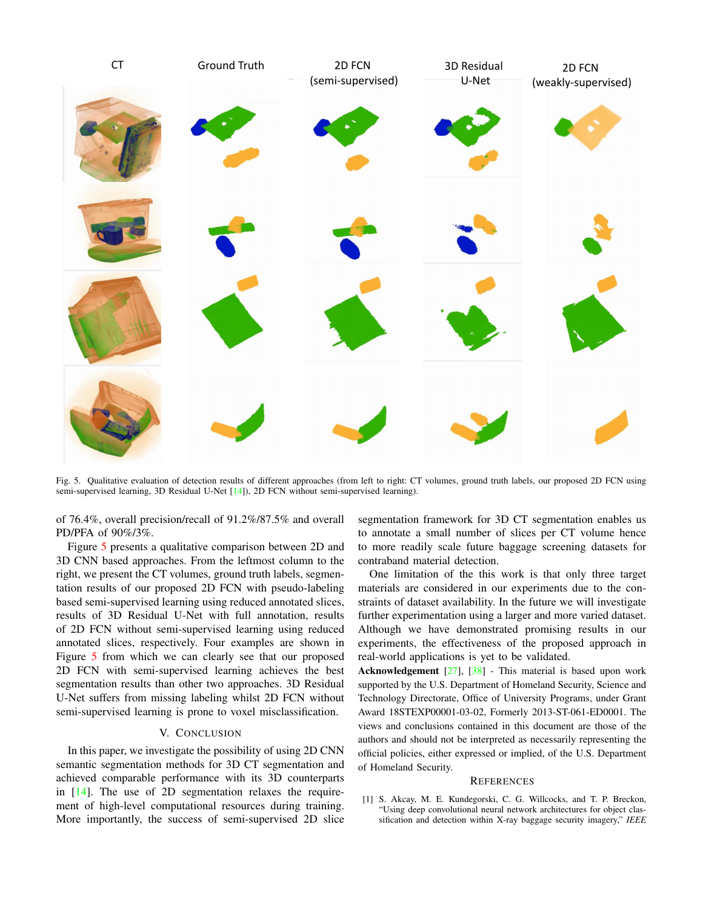

<span id="page-6-1"></span>Fig. 5. Qualitative evaluation of detection results of different approaches (from left to right: CT volumes, ground truth labels, our proposed 2D FCN using semi-supervised learning, 3D Residual U-Net [\[14\]](#page-7-8)), 2D FCN without semi-supervised learning).

of 76.4%, overall precision/recall of 91.2%/87.5% and overall PD/PFA of 90%/3%.

Figure [5](#page-6-1) presents a qualitative comparison between 2D and 3D CNN based approaches. From the leftmost column to the right, we present the CT volumes, ground truth labels, segmentation results of our proposed 2D FCN with pseudo-labeling based semi-supervised learning using reduced annotated slices, results of 3D Residual U-Net with full annotation, results of 2D FCN without semi-supervised learning using reduced annotated slices, respectively. Four examples are shown in Figure [5](#page-6-1) from which we can clearly see that our proposed 2D FCN with semi-supervised learning achieves the best segmentation results than other two approaches. 3D Residual U-Net suffers from missing labeling whilst 2D FCN without semi-supervised learning is prone to voxel misclassification.

## V. CONCLUSION

In this paper, we investigate the possibility of using 2D CNN semantic segmentation methods for 3D CT segmentation and achieved comparable performance with its 3D counterparts in [\[14\]](#page-7-8). The use of 2D segmentation relaxes the requirement of high-level computational resources during training. More importantly, the success of semi-supervised 2D slice segmentation framework for 3D CT segmentation enables us to annotate a small number of slices per CT volume hence to more readily scale future baggage screening datasets for contraband material detection.

One limitation of the this work is that only three target materials are considered in our experiments due to the constraints of dataset availability. In the future we will investigate further experimentation using a larger and more varied dataset. Although we have demonstrated promising results in our experiments, the effectiveness of the proposed approach in real-world applications is yet to be validated.

Acknowledgement [\[27\]](#page-7-22), [\[38\]](#page-7-33) - This material is based upon work supported by the U.S. Department of Homeland Security, Science and Technology Directorate, Office of University Programs, under Grant Award 18STEXP00001-03-02, Formerly 2013-ST-061-ED0001. The views and conclusions contained in this document are those of the authors and should not be interpreted as necessarily representing the official policies, either expressed or implied, of the U.S. Department of Homeland Security.

#### **REFERENCES**

<span id="page-6-0"></span>[1] S. Akcay, M. E. Kundegorski, C. G. Willcocks, and T. P. Breckon, "Using deep convolutional neural network architectures for object classification and detection within X-ray baggage security imagery," *IEEE*